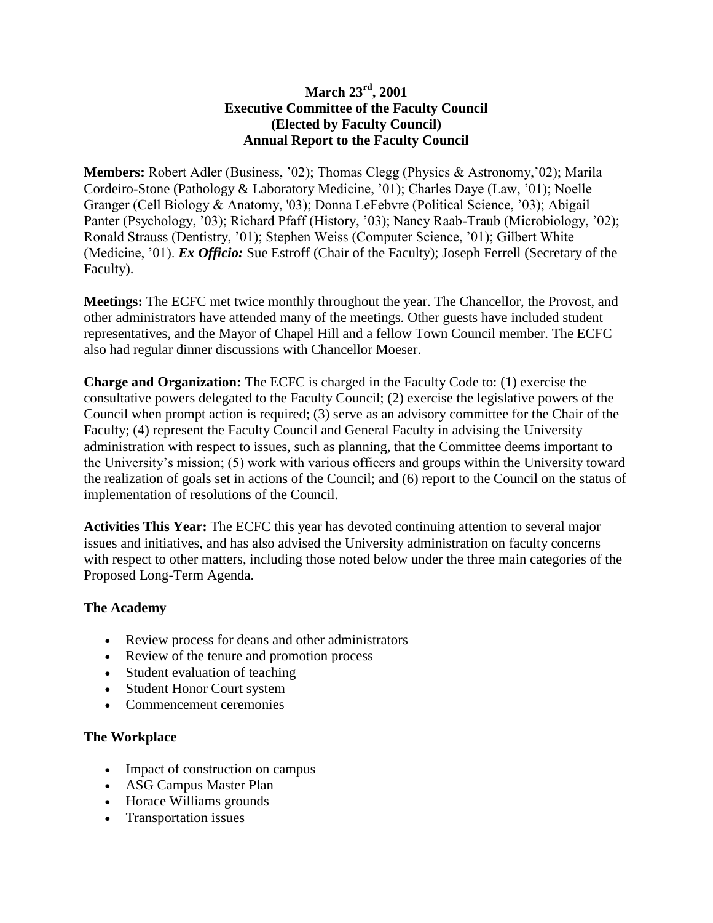## **March 23rd, 2001 Executive Committee of the Faculty Council (Elected by Faculty Council) Annual Report to the Faculty Council**

**Members:** Robert Adler (Business, '02); Thomas Clegg (Physics & Astronomy,'02); Marila Cordeiro-Stone (Pathology & Laboratory Medicine, '01); Charles Daye (Law, '01); Noelle Granger (Cell Biology & Anatomy, '03); Donna LeFebvre (Political Science, '03); Abigail Panter (Psychology, '03); Richard Pfaff (History, '03); Nancy Raab-Traub (Microbiology, '02); Ronald Strauss (Dentistry, '01); Stephen Weiss (Computer Science, '01); Gilbert White (Medicine, '01). *Ex Officio:* Sue Estroff (Chair of the Faculty); Joseph Ferrell (Secretary of the Faculty).

**Meetings:** The ECFC met twice monthly throughout the year. The Chancellor, the Provost, and other administrators have attended many of the meetings. Other guests have included student representatives, and the Mayor of Chapel Hill and a fellow Town Council member. The ECFC also had regular dinner discussions with Chancellor Moeser.

**Charge and Organization:** The ECFC is charged in the Faculty Code to: (1) exercise the consultative powers delegated to the Faculty Council; (2) exercise the legislative powers of the Council when prompt action is required; (3) serve as an advisory committee for the Chair of the Faculty; (4) represent the Faculty Council and General Faculty in advising the University administration with respect to issues, such as planning, that the Committee deems important to the University's mission; (5) work with various officers and groups within the University toward the realization of goals set in actions of the Council; and (6) report to the Council on the status of implementation of resolutions of the Council.

**Activities This Year:** The ECFC this year has devoted continuing attention to several major issues and initiatives, and has also advised the University administration on faculty concerns with respect to other matters, including those noted below under the three main categories of the Proposed Long-Term Agenda.

## **The Academy**

- Review process for deans and other administrators
- Review of the tenure and promotion process
- Student evaluation of teaching
- Student Honor Court system
- Commencement ceremonies

## **The Workplace**

- Impact of construction on campus
- ASG Campus Master Plan
- Horace Williams grounds
- Transportation issues